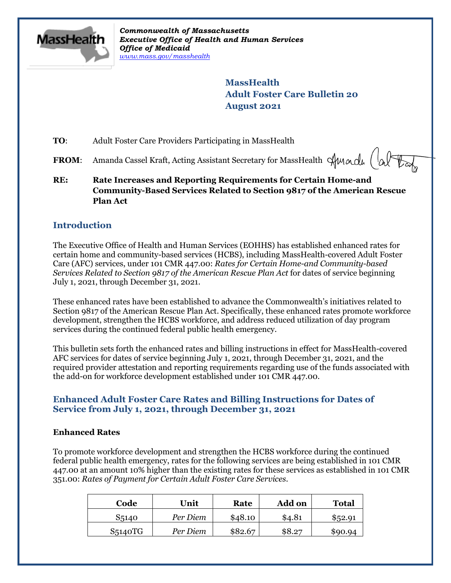

*Commonwealth of Massachusetts Executive Office of Health and Human Services Office of Medicaid [www.mass.gov/masshealth](http://www.mass.gov/masshealth)*

> **MassHealth Adult Foster Care Bulletin 20 August 2021**

**TO**: Adult Foster Care Providers Participating in MassHealth

- FROM: Amanda Cassel Kraft, Acting Assistant Secretary for MassHealth Sunnall (alter
- **RE: Rate Increases and Reporting Requirements for Certain Home-and Community-Based Services Related to Section 9817 of the American Rescue Plan Act**

## **Introduction**

The Executive Office of Health and Human Services (EOHHS) has established enhanced rates for certain home and community-based services (HCBS), including MassHealth-covered Adult Foster Care (AFC) services, under 101 CMR 447.00: *Rates for Certain Home-and Community-based Services Related to Section 9817 of the American Rescue Plan Act* for dates of service beginning July 1, 2021, through December 31, 2021.

These enhanced rates have been established to advance the Commonwealth's initiatives related to Section 9817 of the American Rescue Plan Act. Specifically, these enhanced rates promote workforce development, strengthen the HCBS workforce, and address reduced utilization of day program services during the continued federal public health emergency.

This bulletin sets forth the enhanced rates and billing instructions in effect for MassHealth-covered AFC services for dates of service beginning July 1, 2021, through December 31, 2021, and the required provider attestation and reporting requirements regarding use of the funds associated with the add-on for workforce development established under 101 CMR 447.00.

### **Enhanced Adult Foster Care Rates and Billing Instructions for Dates of Service from July 1, 2021, through December 31, 2021**

#### **Enhanced Rates**

To promote workforce development and strengthen the HCBS workforce during the continued federal public health emergency, rates for the following services are being established in 101 CMR 447.00 at an amount 10% higher than the existing rates for these services as established in 101 CMR 351.00: *Rates of Payment for Certain Adult Foster Care Services*.

| Code                 | Unit     | Rate    | <b>Add on</b> | <b>Total</b> |
|----------------------|----------|---------|---------------|--------------|
| S5140                | Per Diem | \$48.10 | \$4.81        | \$52.91      |
| S <sub>5</sub> 140TG | Per Diem | \$82.67 | \$8.27        | \$90.94      |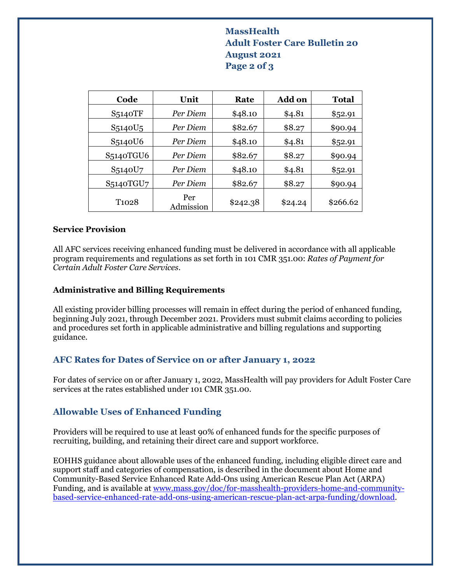# **MassHealth Adult Foster Care Bulletin 20 August 2021 Page 2 of 3**

| Code                             | Unit             | Rate     | Add on  | <b>Total</b> |
|----------------------------------|------------------|----------|---------|--------------|
| S5140TF                          | Per Diem         | \$48.10  | \$4.81  | \$52.91      |
| S <sub>5</sub> 140U <sub>5</sub> | Per Diem         | \$82.67  | \$8.27  | \$90.94      |
| S5140U6                          | Per Diem         | \$48.10  | \$4.81  | \$52.91      |
| S5140TGU6                        | Per Diem         | \$82.67  | \$8.27  | \$90.94      |
| S5140U7                          | Per Diem         | \$48.10  | \$4.81  | \$52.91      |
| S5140TGU7                        | Per Diem         | \$82.67  | \$8.27  | \$90.94      |
| T <sub>102</sub> 8               | Per<br>Admission | \$242.38 | \$24.24 | \$266.62     |

#### **Service Provision**

All AFC services receiving enhanced funding must be delivered in accordance with all applicable program requirements and regulations as set forth in 101 CMR 351.00: *Rates of Payment for Certain Adult Foster Care Services*.

#### **Administrative and Billing Requirements**

All existing provider billing processes will remain in effect during the period of enhanced funding, beginning July 2021, through December 2021. Providers must submit claims according to policies and procedures set forth in applicable administrative and billing regulations and supporting guidance.

### **AFC Rates for Dates of Service on or after January 1, 2022**

For dates of service on or after January 1, 2022, MassHealth will pay providers for Adult Foster Care services at the rates established under 101 CMR 351.00.

# **Allowable Uses of Enhanced Funding**

Providers will be required to use at least 90% of enhanced funds for the specific purposes of recruiting, building, and retaining their direct care and support workforce.

EOHHS guidance about allowable uses of the enhanced funding, including eligible direct care and support staff and categories of compensation, is described in the document about Home and Community-Based Service Enhanced Rate Add-Ons using American Rescue Plan Act (ARPA) Funding, and is available at [www.mass.gov/doc/for-masshealth-providers-home-and-community](http://www.mass.gov/doc/for-masshealth-providers-home-and-community-based-service-enhanced-rate-add-ons-using-american-rescue-plan-act-arpa-funding/download)[based-service-enhanced-rate-add-ons-using-american-rescue-plan-act-arpa-funding/download.](http://www.mass.gov/doc/for-masshealth-providers-home-and-community-based-service-enhanced-rate-add-ons-using-american-rescue-plan-act-arpa-funding/download)